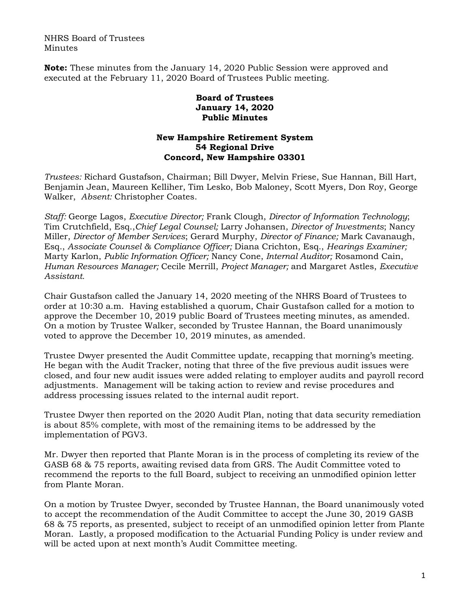NHRS Board of Trustees Minutes

**Note:** These minutes from the January 14, 2020 Public Session were approved and executed at the February 11, 2020 Board of Trustees Public meeting.

## **Board of Trustees January 14, 2020 Public Minutes**

## **New Hampshire Retirement System 54 Regional Drive Concord, New Hampshire 03301**

*Trustees:* Richard Gustafson, Chairman; Bill Dwyer, Melvin Friese, Sue Hannan, Bill Hart, Benjamin Jean, Maureen Kelliher, Tim Lesko, Bob Maloney, Scott Myers, Don Roy, George Walker, *Absent:* Christopher Coates.

*Staff:* George Lagos, *Executive Director;* Frank Clough, *Director of Information Technology*; Tim Crutchfield, Esq.,*Chief Legal Counsel;* Larry Johansen, *Director of Investments*; Nancy Miller, *Director of Member Services*; Gerard Murphy, *Director of Finance;* Mark Cavanaugh, Esq., *Associate Counsel & Compliance Officer;* Diana Crichton, Esq., *Hearings Examiner;* Marty Karlon, *Public Information Officer;* Nancy Cone, *Internal Auditor;* Rosamond Cain, *Human Resources Manager;* Cecile Merrill, *Project Manager;* and Margaret Astles, *Executive Assistant.* 

Chair Gustafson called the January 14, 2020 meeting of the NHRS Board of Trustees to order at 10:30 a.m. Having established a quorum, Chair Gustafson called for a motion to approve the December 10, 2019 public Board of Trustees meeting minutes, as amended. On a motion by Trustee Walker, seconded by Trustee Hannan, the Board unanimously voted to approve the December 10, 2019 minutes, as amended.

Trustee Dwyer presented the Audit Committee update, recapping that morning's meeting. He began with the Audit Tracker, noting that three of the five previous audit issues were closed, and four new audit issues were added relating to employer audits and payroll record adjustments. Management will be taking action to review and revise procedures and address processing issues related to the internal audit report.

Trustee Dwyer then reported on the 2020 Audit Plan, noting that data security remediation is about 85% complete, with most of the remaining items to be addressed by the implementation of PGV3.

Mr. Dwyer then reported that Plante Moran is in the process of completing its review of the GASB 68 & 75 reports, awaiting revised data from GRS. The Audit Committee voted to recommend the reports to the full Board, subject to receiving an unmodified opinion letter from Plante Moran.

On a motion by Trustee Dwyer, seconded by Trustee Hannan, the Board unanimously voted to accept the recommendation of the Audit Committee to accept the June 30, 2019 GASB 68 & 75 reports, as presented, subject to receipt of an unmodified opinion letter from Plante Moran. Lastly, a proposed modification to the Actuarial Funding Policy is under review and will be acted upon at next month's Audit Committee meeting.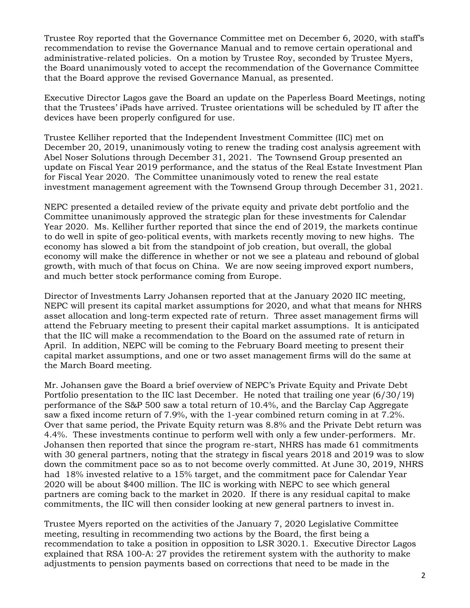Trustee Roy reported that the Governance Committee met on December 6, 2020, with staff's recommendation to revise the Governance Manual and to remove certain operational and administrative-related policies. On a motion by Trustee Roy, seconded by Trustee Myers, the Board unanimously voted to accept the recommendation of the Governance Committee that the Board approve the revised Governance Manual, as presented.

Executive Director Lagos gave the Board an update on the Paperless Board Meetings, noting that the Trustees' iPads have arrived. Trustee orientations will be scheduled by IT after the devices have been properly configured for use.

Trustee Kelliher reported that the Independent Investment Committee (IIC) met on December 20, 2019, unanimously voting to renew the trading cost analysis agreement with Abel Noser Solutions through December 31, 2021. The Townsend Group presented an update on Fiscal Year 2019 performance, and the status of the Real Estate Investment Plan for Fiscal Year 2020. The Committee unanimously voted to renew the real estate investment management agreement with the Townsend Group through December 31, 2021.

NEPC presented a detailed review of the private equity and private debt portfolio and the Committee unanimously approved the strategic plan for these investments for Calendar Year 2020. Ms. Kelliher further reported that since the end of 2019, the markets continue to do well in spite of geo-political events, with markets recently moving to new highs. The economy has slowed a bit from the standpoint of job creation, but overall, the global economy will make the difference in whether or not we see a plateau and rebound of global growth, with much of that focus on China. We are now seeing improved export numbers, and much better stock performance coming from Europe.

Director of Investments Larry Johansen reported that at the January 2020 IIC meeting, NEPC will present its capital market assumptions for 2020, and what that means for NHRS asset allocation and long-term expected rate of return. Three asset management firms will attend the February meeting to present their capital market assumptions. It is anticipated that the IIC will make a recommendation to the Board on the assumed rate of return in April. In addition, NEPC will be coming to the February Board meeting to present their capital market assumptions, and one or two asset management firms will do the same at the March Board meeting.

Mr. Johansen gave the Board a brief overview of NEPC's Private Equity and Private Debt Portfolio presentation to the IIC last December. He noted that trailing one year (6/30/19) performance of the S&P 500 saw a total return of 10.4%, and the Barclay Cap Aggregate saw a fixed income return of 7.9%, with the 1-year combined return coming in at 7.2%. Over that same period, the Private Equity return was 8.8% and the Private Debt return was 4.4%. These investments continue to perform well with only a few under-performers. Mr. Johansen then reported that since the program re-start, NHRS has made 61 commitments with 30 general partners, noting that the strategy in fiscal years 2018 and 2019 was to slow down the commitment pace so as to not become overly committed. At June 30, 2019, NHRS had 18% invested relative to a 15% target, and the commitment pace for Calendar Year 2020 will be about \$400 million. The IIC is working with NEPC to see which general partners are coming back to the market in 2020. If there is any residual capital to make commitments, the IIC will then consider looking at new general partners to invest in.

Trustee Myers reported on the activities of the January 7, 2020 Legislative Committee meeting, resulting in recommending two actions by the Board, the first being a recommendation to take a position in opposition to LSR 3020.1. Executive Director Lagos explained that RSA 100-A: 27 provides the retirement system with the authority to make adjustments to pension payments based on corrections that need to be made in the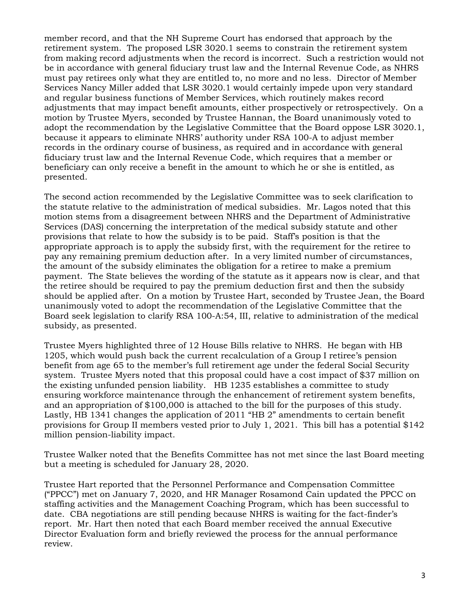member record, and that the NH Supreme Court has endorsed that approach by the retirement system. The proposed LSR 3020.1 seems to constrain the retirement system from making record adjustments when the record is incorrect. Such a restriction would not be in accordance with general fiduciary trust law and the Internal Revenue Code, as NHRS must pay retirees only what they are entitled to, no more and no less. Director of Member Services Nancy Miller added that LSR 3020.1 would certainly impede upon very standard and regular business functions of Member Services, which routinely makes record adjustments that may impact benefit amounts, either prospectively or retrospectively. On a motion by Trustee Myers, seconded by Trustee Hannan, the Board unanimously voted to adopt the recommendation by the Legislative Committee that the Board oppose LSR 3020.1, because it appears to eliminate NHRS' authority under RSA 100-A to adjust member records in the ordinary course of business, as required and in accordance with general fiduciary trust law and the Internal Revenue Code, which requires that a member or beneficiary can only receive a benefit in the amount to which he or she is entitled, as presented.

The second action recommended by the Legislative Committee was to seek clarification to the statute relative to the administration of medical subsidies. Mr. Lagos noted that this motion stems from a disagreement between NHRS and the Department of Administrative Services (DAS) concerning the interpretation of the medical subsidy statute and other provisions that relate to how the subsidy is to be paid. Staff's position is that the appropriate approach is to apply the subsidy first, with the requirement for the retiree to pay any remaining premium deduction after. In a very limited number of circumstances, the amount of the subsidy eliminates the obligation for a retiree to make a premium payment. The State believes the wording of the statute as it appears now is clear, and that the retiree should be required to pay the premium deduction first and then the subsidy should be applied after. On a motion by Trustee Hart, seconded by Trustee Jean, the Board unanimously voted to adopt the recommendation of the Legislative Committee that the Board seek legislation to clarify RSA 100-A:54, III, relative to administration of the medical subsidy, as presented.

Trustee Myers highlighted three of 12 House Bills relative to NHRS. He began with HB 1205, which would push back the current recalculation of a Group I retiree's pension benefit from age 65 to the member's full retirement age under the federal Social Security system. Trustee Myers noted that this proposal could have a cost impact of \$37 million on the existing unfunded pension liability. HB 1235 establishes a committee to study ensuring workforce maintenance through the enhancement of retirement system benefits, and an appropriation of \$100,000 is attached to the bill for the purposes of this study. Lastly, HB 1341 changes the application of 2011 "HB 2" amendments to certain benefit provisions for Group II members vested prior to July 1, 2021. This bill has a potential \$142 million pension-liability impact.

Trustee Walker noted that the Benefits Committee has not met since the last Board meeting but a meeting is scheduled for January 28, 2020.

Trustee Hart reported that the Personnel Performance and Compensation Committee ("PPCC") met on January 7, 2020, and HR Manager Rosamond Cain updated the PPCC on staffing activities and the Management Coaching Program, which has been successful to date. CBA negotiations are still pending because NHRS is waiting for the fact-finder's report. Mr. Hart then noted that each Board member received the annual Executive Director Evaluation form and briefly reviewed the process for the annual performance review.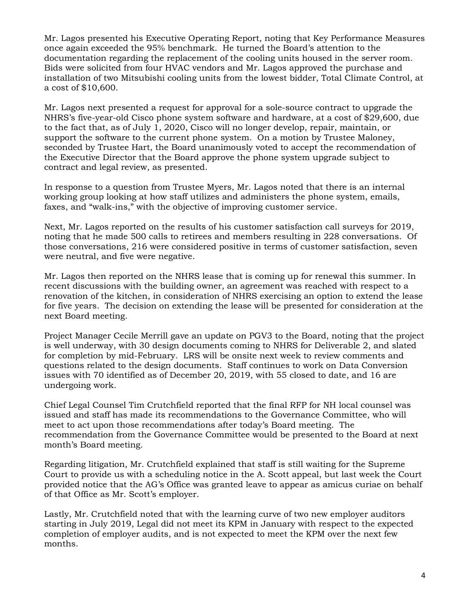Mr. Lagos presented his Executive Operating Report, noting that Key Performance Measures once again exceeded the 95% benchmark. He turned the Board's attention to the documentation regarding the replacement of the cooling units housed in the server room. Bids were solicited from four HVAC vendors and Mr. Lagos approved the purchase and installation of two Mitsubishi cooling units from the lowest bidder, Total Climate Control, at a cost of \$10,600.

Mr. Lagos next presented a request for approval for a sole-source contract to upgrade the NHRS's five-year-old Cisco phone system software and hardware, at a cost of \$29,600, due to the fact that, as of July 1, 2020, Cisco will no longer develop, repair, maintain, or support the software to the current phone system. On a motion by Trustee Maloney, seconded by Trustee Hart, the Board unanimously voted to accept the recommendation of the Executive Director that the Board approve the phone system upgrade subject to contract and legal review, as presented.

In response to a question from Trustee Myers, Mr. Lagos noted that there is an internal working group looking at how staff utilizes and administers the phone system, emails, faxes, and "walk-ins," with the objective of improving customer service.

Next, Mr. Lagos reported on the results of his customer satisfaction call surveys for 2019, noting that he made 500 calls to retirees and members resulting in 228 conversations. Of those conversations, 216 were considered positive in terms of customer satisfaction, seven were neutral, and five were negative.

Mr. Lagos then reported on the NHRS lease that is coming up for renewal this summer. In recent discussions with the building owner, an agreement was reached with respect to a renovation of the kitchen, in consideration of NHRS exercising an option to extend the lease for five years. The decision on extending the lease will be presented for consideration at the next Board meeting.

Project Manager Cecile Merrill gave an update on PGV3 to the Board, noting that the project is well underway, with 30 design documents coming to NHRS for Deliverable 2, and slated for completion by mid-February. LRS will be onsite next week to review comments and questions related to the design documents. Staff continues to work on Data Conversion issues with 70 identified as of December 20, 2019, with 55 closed to date, and 16 are undergoing work.

Chief Legal Counsel Tim Crutchfield reported that the final RFP for NH local counsel was issued and staff has made its recommendations to the Governance Committee, who will meet to act upon those recommendations after today's Board meeting. The recommendation from the Governance Committee would be presented to the Board at next month's Board meeting.

Regarding litigation, Mr. Crutchfield explained that staff is still waiting for the Supreme Court to provide us with a scheduling notice in the A. Scott appeal, but last week the Court provided notice that the AG's Office was granted leave to appear as amicus curiae on behalf of that Office as Mr. Scott's employer.

Lastly, Mr. Crutchfield noted that with the learning curve of two new employer auditors starting in July 2019, Legal did not meet its KPM in January with respect to the expected completion of employer audits, and is not expected to meet the KPM over the next few months.